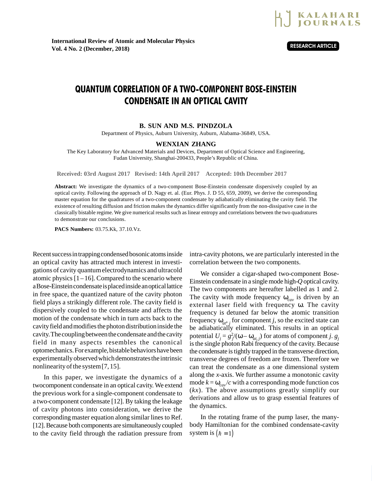

## QUANTUM CORRELATION OF A TWO-COMPONENT BOSE-EINSTEIN CONDENSATE IN AN OPTICAL CAVITY

## **B. SUN AND M.S. PINDZOLA**

Department of Physics, Auburn University, Auburn, Alabama-36849, USA.

## **WENXIAN ZHANG**

The Key Laboratory for Advanced Materials and Devices, Department of Optical Science and Engineering, Fudan University, Shanghai-200433, People's Republic of China.

**Received: 03rd August 2017 Revised: 14th April 2017 Accepted: 10th December 2017**

**Abstract:** We investigate the dynamics of a two-component Bose-Einstein condensate dispersively coupled by an optical cavity. Following the approach of D. Nagy et. al. (Eur. Phys. J. D 55, 659, 2009), we derive the corresponding master equation for the quadratures of a two-component condensate by adiabatically eliminating the cavity field. The existence of resulting diffusion and friction makes the dynamics differ significantly from the non-dissipative case in the classically bistable regime. We give numerical results such as linear entropy and correlations between the two quadratures to demonstrate our conclusions.

**PACS Numbers:** 03.75.Kk, 37.10.Vz.

Recent success in trapping condensed bosonic atoms inside an optical cavity has attracted much interest in investigations of cavity quantum electrodynamics and ultracold atomic physics  $[1 – 16]$ . Compared to the scenario where a Bose-Einstein condensate is placed inside an optical lattice in free space, the quantized nature of the cavity photon field plays a strikingly different role. The cavity field is dispersively coupled to the condensate and affects the motion of the condensate which in turn acts back to the cavity field and modifies the photon distribution inside the cavity. The coupling between the condensate and the cavity field in many aspects resembles the canonical optomechanics. For example, bistable behaviors have been experimentally observed which demonstrates the intrinsic nonlinearity of the system [7, 15].

In this paper, we investigate the dynamics of a twocomponent condensate in an optical cavity. We extend the previous work for a single-component condensate to a two-component condensate [12]. By taking the leakage of cavity photons into consideration, we derive the corresponding master equation along similar lines to Ref. [12]. Because both components are simultaneously coupled to the cavity field through the radiation pressure from intra-cavity photons, we are particularly interested in the correlation between the two components.

We consider a cigar-shaped two-component Bose-Einstein condensate in a single mode high-*Q* optical cavity. The two components are hereafter labelled as 1 and 2. The cavity with mode frequency  $\omega_{cav}$  is driven by an external laser field with frequency ω. The cavity frequency is detuned far below the atomic transition frequency  $\omega_{at}$ , *j* for component *j*, so the excited state can be adiabatically eliminated. This results in an optical potential  $U_j = g_j^2/(\omega - \omega_{at,j})$  for atoms of component *j*.  $g_j$ is the single photon Rabi frequency of the cavity. Because the condensate is tightly trapped in the transverse direction, transverse degrees of freedom are frozen. Therefore we can treat the condensate as a one dimensional system along the *x*-axis. We further assume a monotonic cavity mode  $k = \omega_{cav}/c$  with a corresponding mode function cos (*kx*). The above assumptions greatly simplify our derivations and allow us to grasp essential features of the dynamics.

In the rotating frame of the pump laser, the manybody Hamiltonian for the combined condensate-cavity system is  $(h = 1)$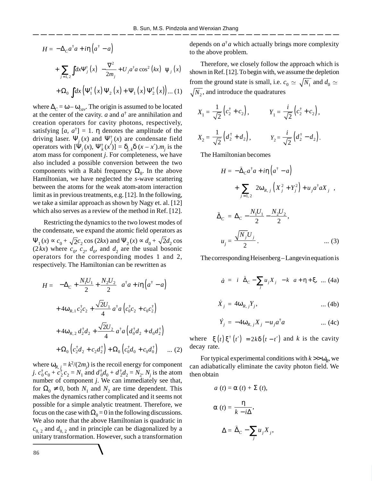$$
H = -\Delta_C a^{\dagger} a + i\eta \left( a^{\dagger} - a \right)
$$
  
+ 
$$
\sum_{j=1,2} \int dx \Psi_j^{\dagger} (x) \left[ -\frac{\nabla^2}{2m_j} + U_j a^{\dagger} a \cos^2 (kx) \right] \Psi_j (x)
$$
  
+ 
$$
\Omega_0 \int dx \left( \Psi_1^{\dagger} (x) \Psi_2 (x) + \Psi_1 (x) \Psi_2^{\dagger} (x) \right) \dots (1)
$$

where  $\Delta_C = \omega - \omega_{cav}$ . The origin is assumed to be located at the center of the cavity.  $a$  and  $a^{\dagger}$  are annihilation and creation operators for cavity photons, respectively, satisfying  $[a, a^{\dagger}] = 1$ .  $\eta$  denotes the amplitude of the driving laser.  $\Psi_j(x)$  and  $\Psi_j^{\dagger}(x)$  are condensate field operators with  $[\Psi_j(x), \Psi_k^{\dagger}(x')] = \delta_{j,k} \delta(x - x') \cdot m_j$  is the atom mass for component *j*. For completeness, we have also included a possible conversion between the two components with a Rabi frequency  $\Omega_0$ . In the above Hamiltonian, we have neglected the *s*-wave scattering between the atoms for the weak atom-atom interaction limit as in previous treatments, e.g. [12]. In the following, we take a similar approach as shown by Nagy et. al. [12] which also serves as a review of the method in Ref. [12].

Restricting the dynamics to the two lowest modes of the condensate, we expand the atomic field operators as  $\Psi_1(x) \propto c_0 + \sqrt{2}c_2 \cos(2kx)$  and  $\Psi_2(x) \propto d_0 + \sqrt{2}d_2 \cos(2kx)$  $(2 kx)$  where  $c_0$ ,  $c_2$ ,  $d_0$ , and  $d_2$  are the usual bosonic operators for the corresponding modes 1 and 2, respectively. The Hamiltonian can be rewritten as

$$
H = \left(-\Delta_C + \frac{N_1 U_1}{2} + \frac{N_2 U_2}{2}\right) a^{\dagger} a + i\eta \left(a^{\dagger} - a\right)
$$
  
+  $4\omega_{R,1} c_2^{\dagger} c_2 + \frac{\sqrt{2}U_1}{4} a^{\dagger} a \left(c_0^{\dagger} c_2 + c_0 c_2^{\dagger}\right)$   
+  $4\omega_{R,2} d_2^{\dagger} d_2 + \frac{\sqrt{2}U_2}{4} a^{\dagger} a \left(d_0^{\dagger} d_2 + d_0 d_2^{\dagger}\right)$   
+  $\Omega_0 \left(c_2^{\dagger} d_2 + c_2 d_2^{\dagger}\right) + \Omega_0 \left(c_0^{\dagger} d_0 + c_0 d_0^{\dagger}\right) \dots (2)$ 

where  $\omega_{R, j} = k^2/(2m_j)$  is the recoil energy for component *j*.  $c_0^{\dagger} c_0 + c_2^{\dagger} c_2 = N_1$  and  $d_0^{\dagger} d_0 + d_2^{\dagger} d_2 = N_2$ . *N<sub>j</sub>* is the atom number of component *j*. We can immediately see that, for  $\Omega_0 \neq 0$ , both  $N_1$  and  $N_2$  are time dependent. This makes the dynamics rather complicated and it seems not possible for a simple analytic treatment. Therefore, we focus on the case with  $\Omega_0 = 0$  in the following discussions. We also note that the above Hamiltonian is quadratic in  $c_{0,2}$  and  $d_{0,2}$  and in principle can be diagonalized by a unitary transformation. However, such a transformation

depends on  $a^{\dagger}a$  which actually brings more complexity to the above problem.

Therefore, we closely follow the approach which is shown in Ref. [12]. To begin with, we assume the depletion from the ground state is small, i.e.  $c_0 \simeq \sqrt{N_1}$  and  $d_0 \simeq$  $N_2$ , and introduce the quadratures

$$
X_1 = \frac{1}{\sqrt{2}} (c_2^{\dagger} + c_2), \qquad Y_1 = \frac{i}{\sqrt{2}} (c_2^{\dagger} + c_2),
$$
  

$$
X_2 = \frac{1}{\sqrt{2}} (d_2^{\dagger} + d_2), \qquad Y_2 = \frac{i}{\sqrt{2}} (d_2^{\dagger} - d_2).
$$

The Hamiltonian becomes

$$
H = -\tilde{\Delta}_C a^{\dagger} a + i\eta \left( a^{\dagger} - a \right)
$$
  
+ 
$$
\sum_{j=1,2} \left[ 2\omega_{R,j} \left( X_j^2 + Y_j^2 \right) + u_j a^{\dagger} a X_j \right],
$$
  

$$
\tilde{\Delta}_C = \Delta_C - \frac{N_1 U_1}{2} - \frac{N_2 U_2}{2},
$$
  

$$
u_j = \frac{\sqrt{N_j} U_j}{2}.
$$
 (3)

The corresponding Heisenberg–Langevin equation is

$$
\dot{a} = \left[ i \left( \tilde{\Delta}_C - \sum_j u_j X_j \right) - k \right] a + \eta + \xi, \dots (4a)
$$
  

$$
\dot{X}_j = 4\omega_{R,j} Y_j, \qquad \dots (4b)
$$

$$
\dot{Y}_j = -4\omega_{R,j}X_j - u_j a^\dagger a \qquad \qquad \dots (4c)
$$

where  $\langle \xi(t) \xi^{\dagger}(t') \rangle = 2k \delta(t - t')$  and *k* is the cavity decay rate.

For typical experimental conditions with  $k > \omega_R$ , we can adiabatically eliminate the cavity photon field. We then obtain

$$
a(t) = \alpha(t) + \Sigma(t),
$$
  
\n
$$
\alpha(t) = \frac{\eta}{k - i\Delta},
$$
  
\n
$$
\Delta = \tilde{\Delta}_C - \sum_j u_j X_j,
$$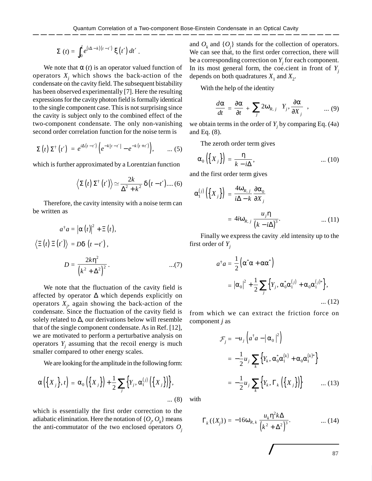$$
\Sigma(t) = \int_0^t e^{(i\Delta - k)(t - t')} \xi(t') dt'.
$$

We note that  $\alpha$  (*t*) is an operator valued function of operators  $X_j$  which shows the back-action of the condensate on the cavity field. The subsequent bistability has been observed experimentally [7]. Here the resulting expressions for the cavity photon field is formally identical to the single component case. This is not surprising since the cavity is subject only to the combined effect of the two-component condensate. The only non-vanishing second order correlation function for the noise term is

$$
\langle \Sigma(t) \Sigma^{\dagger}(t') \rangle = e^{i\Delta(t-t')} \left( e^{-k|t-t'|} - e^{-k(t+t')} \right), \qquad \dots (5)
$$

which is further approximated by a Lorentzian function

$$
\langle \Sigma(t) \Sigma^{\dagger}(t') \rangle \simeq \frac{2k}{\Delta^2 + k^2} \delta(t - t') ...
$$
 (6)

Therefore, the cavity intensity with a noise term can be written as

$$
a^{\dagger} a = |\alpha(t)|^2 + \Xi(t),
$$
  

$$
\langle \Xi(t) \Xi(t') \rangle = D\delta(t - t'),
$$
  

$$
D = \frac{2k\eta^2}{(k^2 + \Delta^2)^2}.
$$
...(7)

We note that the fluctuation of the cavity field is affected by operator ∆ which depends explicitly on operators *X<sup>j</sup>* , again showing the back-action of the condensate. Since the fluctuation of the cavity field is solely related to  $\Delta$ , our derivations below will resemble that of the single component condensate. As in Ref. [12], we are motivated to perform a perturbative analysis on operators  $Y_j$  assuming that the recoil energy is much smaller compared to other energy scales.

We are looking for the amplitude in the following form:

$$
\alpha\left(\left\{X_j\right\},t\right) = \alpha_0\left(\left\{X_j\right\}\right) + \frac{1}{2}\sum_j \left\{Y_j,\alpha_1^{(j)}\left(\left\{X_j\right\}\right)\right\},\tag{8}
$$

which is essentially the first order correction to the adiabatic elimination. Here the notation of  $\{O_j, O_k\}$  means the anti-commutator of the two enclosed operators  $O_i$ 

and  $O_k$  and  $\{O_j\}$  stands for the collection of operators. We can see that, to the first order correction, there will be a corresponding correction on *Y<sup>j</sup>* for each component. In its most general form, the coe.cient in front of  $Y_i$ depends on both quadratures  $X_1$  and  $X_2$ .

With the help of the identity

$$
\frac{d\alpha}{dt} = \frac{\partial \alpha}{\partial t} + \sum_{j} 2\omega_{R,j} \left\{ Y_j, \frac{\partial \alpha}{\partial X_j} \right\}, \qquad \dots (9)
$$

we obtain terms in the order of  $Y_j$  by comparing Eq. (4a) and Eq. (8).

The zeroth order term gives

$$
\alpha_0\left(\left\{X_j\right\}\right) = \frac{\eta}{k - i\Delta},\tag{10}
$$

and the first order term gives

$$
\alpha_1^{(j)}\left(\left\{X_j\right\}\right) = \frac{4\omega_{R,j}}{i\Delta - k} \frac{\partial \alpha_0}{\partial X_j}
$$

$$
= 4i\omega_{R,j} \frac{u_j \eta}{\left(k - i\Delta\right)^3}.
$$
 (11)

Finally we express the cavity .eld intensity up to the first order of *Y<sup>j</sup>*

$$
a^{\dagger} a = \frac{1}{2} (\alpha^* \alpha + \alpha \alpha^*)
$$
  
=  $|\alpha_0|^2 + \frac{1}{2} \sum_j \{ Y_j, \alpha_0^* \alpha_1^{(j)} + \alpha_0 \alpha_1^{(j)*} \},$  ... (12)

from which we can extract the friction force on component *j* as

$$
\mathcal{F}_j = -u_j \left( a^\dagger a - |\alpha_0|^2 \right)
$$
  
=  $-\frac{1}{2} u_j \sum_k \left\{ Y_k, \alpha_0^* \alpha_1^{(k)} + \alpha_0 \alpha_1^{(k)*} \right\}$   
=  $-\frac{1}{2} u_j \sum_k \left\{ Y_k, \Gamma_k \left( \left\{ X_j \right\} \right) \right\}$  ... (13)

with

$$
\Gamma_k(\lbrace X_j \rbrace) = -16\omega_{R,k} \frac{u_k \eta^2 k \Delta}{\left(k^2 + \Delta^2\right)^3}.
$$
 (14)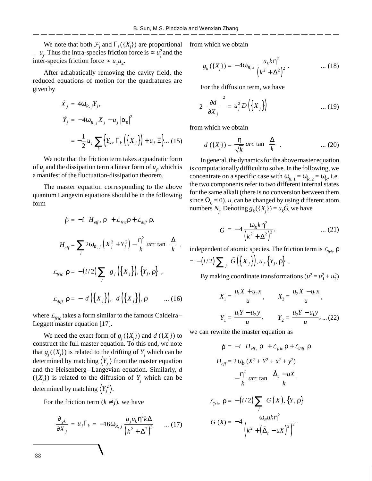We note that both  $\mathcal{F}_j$  and  $\Gamma_j(\{X_j\})$  are proportional from which we obtain  $u_j$ . Thus the intra-species friction force is ∝ *u*<sup>2</sup> and the inter-species friction force  $\propto u_1 u_2$ .

After adiabatically removing the cavity field, the reduced equations of motion for the quadratures are given by

$$
\dot{X}_j = 4\omega_{R,j}Y_j,
$$
\n
$$
\dot{Y}_j = -4\omega_{R,j}X_j - u_j |\alpha_0|^2
$$
\n
$$
= -\frac{1}{2}u_j \sum_k \left\{ Y_k, \Gamma_k \left( \left\{ X_j \right\} \right) + u_j \Xi \right\} \dots (15)
$$

We note that the friction term takes a quadratic form of  $u_j$  and the dissipation term a linear form of  $u_j$ , which is a manifest of the fluctuation-dissipation theorem.

The master equation corresponding to the above quantum Langevin equations should be in the following form

$$
\dot{\rho} = -i \Big[ H_{\text{eff}}^-, \rho \Big] + \mathcal{L}_{\text{fric}}^-\rho + \mathcal{L}_{\text{diff}}^-\rho,
$$
\n
$$
H_{\text{eff}} = \sum_j 2\omega_{R,j} \Big( X_j^2 + Y_j^2 \Big) - \frac{\eta^2}{k} \operatorname{arc} \tan \Big( \frac{\Delta}{k} \Big),
$$
\n
$$
\mathcal{L}_{\text{fric}}^-\rho = -\big( i/2 \big) \sum_j \Big[ g_j \Big( \big\{ X_j \big\} \Big), \big\{ Y_j, \rho \big\} \Big],
$$
\n
$$
\mathcal{L}_{\text{diff}}^-\rho = -\Big[ d \Big( \big\{ X_j \big\} \Big), \Big[ d \Big( \big\{ X_j \big\} \Big), \rho \Big] \Big] \qquad \dots (16)
$$

where  $L_{\text{fric}}$  takes a form similar to the famous Caldeira– Leggett master equation [17].

We need the exact form of  $g_j(\lbrace X_j \rbrace)$  and  $d(\lbrace X_j \rbrace)$  to construct the full master equation. To this end, we note that  $g_j({X_j})$  is related to the drifting of  $Y_j$  which can be determined by matching  $\langle Y_i \rangle$  from the master equation and the Heisenberg–Langevian equation. Similarly, *d*  $({X<sub>j</sub>})$  is related to the diffusion of  $Y<sub>j</sub>$  which can be determined by matching  $\langle Y_j^2 \rangle$ .

For the friction term  $(k \neq j)$ , we have

$$
\frac{\partial_{gk}}{\partial X_j} = u_j \Gamma_k = -16\omega_{R,j} \frac{u_j u_k \eta^2 k \Delta}{\left(k^2 + \Delta^2\right)^3} \qquad \dots (17) \qquad \qquad G\left(X\right) = -4 \frac{\omega_R u k \eta^2}{\left(k^2 + \left(\tilde{\Delta}_c - uX\right)^2\right)^2}
$$

$$
g_{k}(\lbrace X_{j} \rbrace) = -4\omega_{R,k} \frac{u_{k}k\eta^{2}}{\left(k^{2} + \Delta^{2}\right)^{2}}.
$$
 ... (18)

For the diffusion term, we have

$$
2\left(\frac{\partial d}{\partial x_j}\right)^2 = u_j^2 D\left(\left\{X_j\right\}\right) \qquad \qquad \dots (19)
$$

from which we obtain

$$
d\left(\left\{X_j\right\}\right) = \frac{\eta}{\sqrt{k}} \operatorname{arc} \tan\left(\frac{\Delta}{k}\right). \tag{20}
$$

In general, the dynamics for the above master equation is computationally difficult to solve. In the following, we concentrate on a specific case with  $\omega_{R, 1} = \omega_{R, 2} = \omega_R$ , i.e. the two components refer to two different internal states for the same alkali (there is no conversion between them since  $\Omega_0 = 0$ ). *u<sub>j</sub>* can be changed by using different atom numbers  $N_j$ . Denoting  $g_k(\lbrace X_j \rbrace) = u_k \tilde{G}$ , we have

$$
\tilde{G} = -4 \frac{\omega_R k \eta^2}{\left(k^2 + \Delta^2\right)^2}, \qquad \qquad \dots (21)
$$

independent of atomic species. The friction term is *Lfric* ρ

$$
= -(i/2)\sum_j \Big[\tilde{G}\Big(\big\{X_j\big\}\Big),u_j\,\big\{Y_j,\rho\big\}\Big].
$$

By making coordinate transformations  $(u^2 = u_1^2 + u_2^2)$ 

$$
X_1 = \frac{u_1 X + u_2 x}{u}, \qquad X_2 = \frac{u_2 X - u_1 x}{u},
$$

$$
Y_1 = \frac{u_1 Y - u_2 y}{u}, \qquad Y_2 = \frac{u_2 Y - u_1 y}{u}, \dots (22)
$$

we can rewrite the master equation as

$$
\dot{\rho} = -i \left[ H_{eff.} \rho \right] + \mathcal{L}_{fric} \rho + \mathcal{L}_{diff} \rho
$$
  
\n
$$
H_{eff} = 2 \omega_R (X^2 + Y^2 + x^2 + y^2)
$$
  
\n
$$
-\frac{\eta^2}{k} \arctan \left( \frac{\tilde{\Delta}_c - uX}{k} \right)
$$
  
\n
$$
\mathcal{L}_{fric} \rho = -(i/2) \sum_j \left[ G(X), \{Y, \rho\} \right]
$$
  
\n
$$
G(X) = -4 \frac{\omega_R u k \eta^2}{\left( k^2 + \left( \tilde{\Delta}_c - uX \right)^2 \right)^2}
$$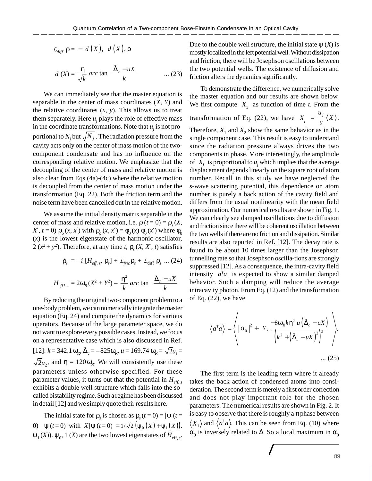$$
\mathcal{L}_{diff} \rho = -\left[d(X), \left[d(X), \rho\right]\right]
$$
\n
$$
d(X) = \frac{\eta}{\sqrt{k}} \operatorname{arc} \tan\left(\frac{\tilde{\Delta}_c - uX}{k}\right) \qquad \dots (23)
$$

We can immediately see that the master equation is separable in the center of mass coordinates (*X*, *Y*) and the relative coordinates  $(x, y)$ . This allows us to treat them separately. Here  $u_j$  plays the role of effective mass in the coordinate transformations. Note that  $u_j$  is not proportional to  $N_j$  but  $\sqrt{N}_j$  . The radiation pressure from the cavity acts only on the center of mass motion of the twocomponent condensate and has no influence on the corresponding relative motion. We emphasize that the decoupling of the center of mass and relative motion is also clear from Eqs (4a)-(4c) where the relative motion is decoupled from the center of mass motion under the transformation (Eq. 22). Both the friction term and the noise term have been cancelled out in the relative motion.

We assume the initial density matrix separable in the center of mass and relative motion, i.e.  $\rho$  ( $t = 0$ ) =  $\rho_s$ (*X*, *X*<sup>'</sup>, *t* = 0)  $ρ<sub>o</sub>(x, x')$  with  $ρ<sub>o</sub>(x, x') = φ<sub>0</sub>(x) φ<sub>0</sub>(x')$  where  $φ<sub>0</sub>$ (*x*) is the lowest eigenstate of the harmonic oscillator, 2 ( $x^2 + y^2$ ). Therefore, at any time *t*,  $\rho_s(X, X', t)$  satisfies

$$
\dot{\rho}_s = -i \left[ H_{\text{eff}, s}, \rho_s \right] + \mathcal{L}_{\text{fric}} \rho_s + \mathcal{L}_{\text{diff}} \rho_s \dots (24)
$$

$$
H_{\text{eff}}, \, _s = 2\omega_R (X^2 + Y^2) - \frac{\eta^2}{k} \arctan\left(\frac{\tilde{\Delta}_c - uX}{k}\right)
$$

By reducing the original two-component problem to a one-body problem, we can numerically integrate the master equation (Eq. 24) and compute the dynamics for various operators. Because of the large parameter space, we do not want to explore every possible cases. Instead, we focus on a representative case which is also discussed in Ref.  $[12]$ :  $k = 342.1 \omega_R$ ,  $\tilde{\Delta}_c = -825 \omega_R$ ,  $u = 169.74 \omega_R = \sqrt{2}u_1 =$  $2u_2$ , and  $\eta = 120 \omega_R$ . We will consistently use these parameters unless otherwise specified. For these parameter values, it turns out that the potential in *Heff*,*<sup>s</sup>* exhibits a double well structure which falls into the socalled bistability regime. Such a regime has been discussed in detail [12] and we simply quote their results here.

The initial state for  $\rho_s$  is chosen as  $\rho_s(t=0) = |\psi(t=0)|$ 0)  $\langle \psi(t=0) | \text{ with } \langle X | \psi(t=0) \rangle = 1/\sqrt{2} (\psi_0(X) + \psi_1(X)).$  $ψ<sub>1</sub>(X)$ ).  $ψ<sub>0</sub>$ , 1 (*X*) are the two lowest eigenstates of  $H_{\text{eff},s}$ . Due to the double well structure, the initial state  $\Psi(X)$  is mostly localized in the left potential well. Without dissipation and friction, there will be Josephson oscillations between the two potential wells. The existence of diffusion and friction alters the dynamics significantly.

To demonstrate the difference, we numerically solve the master equation and our results are shown below. We first compute  $\langle X_1 \rangle$  as function of time *t*. From the transformation of Eq. (22), we have  $\langle X_j \rangle = \frac{u_j}{u_j}$ *X*  $\frac{1}{u}\langle X\rangle$ .

Therefore,  $X_1$  and  $X_2$  show the same behavior as in the single component case. This result is easy to understand since the radiation pressure always drives the two components in phase. More interestingly, the amplitude of  $\langle X_j \rangle$  is proportional to  $u_j$  which implies that the average displacement depends linearly on the square root of atom number. Recall in this study we have neglected the *s*-wave scattering potential, this dependence on atom number is purely a back action of the cavity field and differs from the usual nonlinearity with the mean field approximation. Our numerical results are shown in Fig. 1. We can clearly see damped oscillations due to diffusion and friction since there will be coherent oscillation between the two wells if there are no friction and dissipation. Similar results are also reported in Ref. [12]. The decay rate is found to be about 10 times larger than the Josephson tunnelling rate so that Josephson oscilla-tions are strongly suppressed [12]. As a consequence, the intra-cavity field intensity  $\langle a^{\dagger} a \rangle$  is expected to show a similar damped behavior. Such a damping will reduce the average intracavity photon. From Eq. (12) and the transformation of Eq. (22), we have

$$
\langle a^{\dagger} a \rangle = \left\langle \left| \alpha_0 \right|^2 + \left\{ Y, \frac{-8\omega_R k \eta^2 u \left( \tilde{\Delta}_c - uX \right)}{\left( k^2 + \left( \tilde{\Delta}_c - uX \right)^2 \right)^3} \right\} \right\rangle.
$$
  
... (25)

The first term is the leading term where it already takes the back action of condensed atoms into consideration. The second term is merely a first order correction and does not play important role for the chosen parameters. The numerical results are shown in Fig. 2. It is easy to observe that there is roughly a  $\pi$  phase between  $X_1$  and  $\langle a^{\dagger} a \rangle$ . This can be seen from Eq. (10) where  $\alpha_0$  is inversely related to  $\Delta$ . So a local maximum in  $\alpha_0$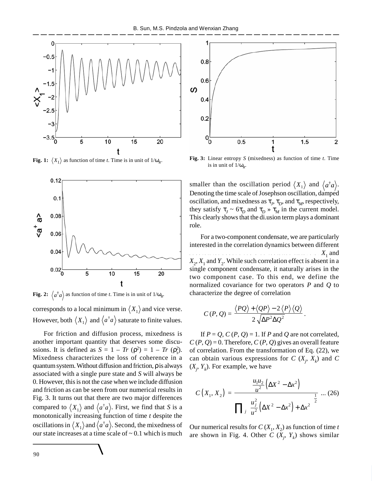

**Fig. 1:**  $\langle X_1 \rangle$  as function of time *t*. Time is in unit of  $1/\omega_R$ .



**Fig. 2:**  $\langle a^{\dagger}a \rangle$  as function of time *t*. Time is in unit of  $1/\omega_R$ .

corresponds to a local minimum in  $\langle X_1 \rangle$  and vice verse. However, both  $\langle X_1 \rangle$  and  $\langle a^\dagger a \rangle$  saturate to finite values.

For friction and diffusion process, mixedness is another important quantity that deserves some discussions. It is defined as  $S = 1 - Tr(\rho^2) = 1 - Tr(\rho_s^2)$ . Mixedness characterizes the loss of coherence in a quantum system. Without diffusion and friction,  $\rho$  is always associated with a single pure state and *S* will always be 0. However, this is not the case when we include diffusion and friction as can be seen from our numerical results in Fig. 3. It turns out that there are two major differences compared to  $\langle X_1 \rangle$  and  $\langle a^{\dagger} a \rangle$ . First, we find that *S* is a monotonically increasing function of time *t* despite the oscillations in  $\langle X_1 \rangle$  and  $\langle a^\dagger a \rangle$ . Second, the mixedness of our state increases at a time scale of  $\sim 0.1$  which is much



**Fig. 3:** Linear entropy *S* (mixedness) as function of time *t*. Time is in unit of  $1/\omega_R$ .

smaller than the oscillation period  $\langle X_1 \rangle$  and  $\langle a^{\dagger} a \rangle$ . Denoting the time scale of Josephson oscillation, damped oscillation, and mixedness as  $\tau_j$ ,  $\tau_p$ , and  $\tau_M$ , respectively, they satisfy  $\tau_J \sim 6\tau_D$  and  $\tau_D \gg \tau_M$  in the current model. This clearly shows that the di.usion term plays a dominant role.

For a two-component condensate, we are particularly interested in the correlation dynamics between different q u a d r a t u r e s u n d e r a c o m m o n r a d i a t i o n f i e l d , e . g . *X*<sup>1</sup>  $X_1$  and  $X_2, X_1$  and  $Y_2$ . While such correlation effect is absent in a single component condensate, it naturally arises in the two component case. To this end, we define the normalized covariance for two operators *P* and *Q* to characterize the degree of correlation

$$
C(P,Q) = \frac{\langle PQ \rangle + \langle QP \rangle - 2 \langle P \rangle \langle Q \rangle}{2 \sqrt{\Delta P^2 \Delta Q^2}}
$$

If  $P = Q$ ,  $C(P, Q) = 1$ . If *P* and *Q* are not correlated,  $C(P, Q) = 0$ . Therefore,  $C(P, Q)$  gives an overall feature of correlation. From the transformation of Eq. (22), we can obtain various expressions for  $C(X_j, X_k)$  and  $C$  $(X_j, Y_k)$ . For example, we have

.

$$
C(X_1, X_2) = \frac{\frac{u_1 u_2}{u^2} (\Delta X^2 - \Delta x^2)}{\prod_{j} \left(\frac{u_j^2}{u^2} (\Delta X^2 - \Delta x^2) + \Delta x^2\right)^{\frac{1}{2}}} \dots (26)
$$

Our numerical results for  $C(X_1, X_2)$  as function of time *t* are shown in Fig. 4. Other  $C(X_j, Y_k)$  shows similar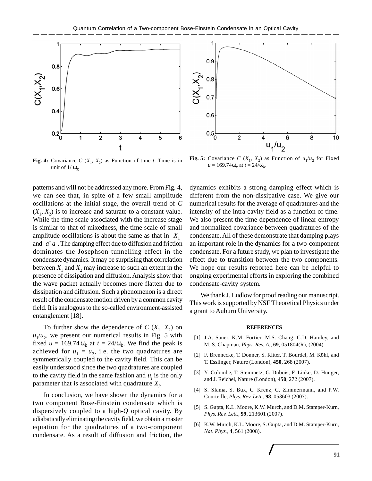

**Fig. 4:** Covariance  $C(X_1, X_2)$  as Function of time *t*. Time is in unit of  $1/\omega_R$ 

patterns and will not be addressed any more. From Fig. 4, we can see that, in spite of a few small amplitude oscillations at the initial stage, the overall trend of *C*  $(X_1, X_2)$  is to increase and saturate to a constant value. While the time scale associated with the increase stage is similar to that of mixedness, the time scale of small amplitude oscillations is about the same as that in  $\langle X_1 \rangle$ and  $\langle a^{\dagger} a \rangle$ . The damping effect due to diffusion and friction dominates the Josephson tunnelling effect in the condensate dynamics. It may be surprising that correlation between  $X_1$  and  $X_2$  may increase to such an extent in the presence of dissipation and diffusion. Analysis show that the wave packet actually becomes more flatten due to dissipation and diffusion. Such a phenomenon is a direct result of the condensate motion driven by a common cavity field. It is analogous to the so-called environment-assisted entanglement [18].

To further show the dependence of  $C(X_1, X_2)$  on  $u_1/u_2$ , we present our numerical results in Fig. 5 with fixed  $u = 169.74 \omega_R$  at  $t = 24/\omega_R$ . We find the peak is achieved for  $u_1 = u_2$ , i.e. the two quadratures are symmetrically coupled to the cavity field. This can be easily understood since the two quadratures are coupled to the cavity field in the same fashion and  $u_j$  is the only parameter that is associated with quadrature *X<sup>j</sup>* .

In conclusion, we have shown the dynamics for a two component Bose-Einstein condensate which is dispersively coupled to a high-*Q* optical cavity. By adiabatically eliminating the cavity field, we obtain a master equation for the quadratures of a two-component condensate. As a result of diffusion and friction, the



**Fig. 5:** Covariance *C* ( $X_1$ ,  $X_2$ ) as Function of  $u_1/u_2$  for Fixed  $u = 169.74 \omega_R$  at  $t = 24/\omega_R$ .

dynamics exhibits a strong damping effect which is different from the non-dissipative case. We give our numerical results for the average of quadratures and the intensity of the intra-cavity field as a function of time. We also present the time dependence of linear entropy and normalized covariance between quadratures of the condensate. All of these demonstrate that damping plays an important role in the dynamics for a two-component condensate. For a future study, we plan to investigate the effect due to transition between the two components. We hope our results reported here can be helpful to ongoing experimental efforts in exploring the combined condensate-cavity system.

We thank J. Ludlow for proof reading our manuscript. This work is supported by NSF Theoretical Physics under a grant to Auburn University.

## **REFERENCES**

- [1] J.A. Sauer, K.M. Fortier, M.S. Chang, C.D. Hamley, and M. S. Chapman, *Phys. Rev. A.*, **69**, 051804(R), (2004).
- [2] F. Brennecke, T. Donner, S. Ritter, T. Bourdel, M. Köhl, and T. Esslinger, Nature (London), **450**, 268 (2007).
- [3] Y. Colombe, T. Steinmetz, G. Dubois, F. Linke, D. Hunger, and J. Reichel, Nature (London), **450**, 272 (2007).
- [4] S. Slama, S. Bux, G. Krenz, C. Zimmermann, and P.W. Courteille, *Phys. Rev. Lett.*, **98**, 053603 (2007).
- [5] S. Gupta, K.L. Moore, K.W. Murch, and D.M. Stamper-Kurn, *Phys. Rev. Lett.*, **99**, 213601 (2007).
- [6] K.W. Murch, K.L. Moore, S. Gupta, and D.M. Stamper-Kurn, *Nat. Phys.*, **4**, 561 (2008).